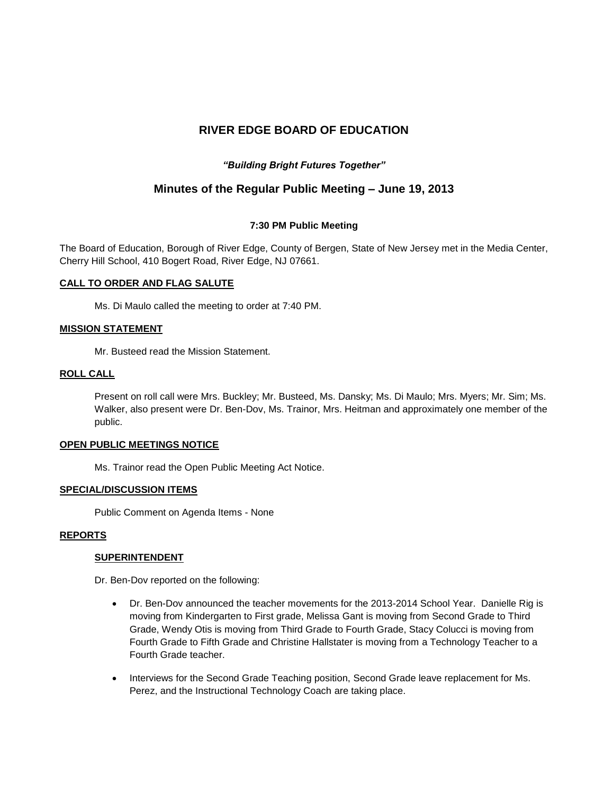# **RIVER EDGE BOARD OF EDUCATION**

# *"Building Bright Futures Together"*

# **Minutes of the Regular Public Meeting – June 19, 2013**

# **7:30 PM Public Meeting**

The Board of Education, Borough of River Edge, County of Bergen, State of New Jersey met in the Media Center, Cherry Hill School, 410 Bogert Road, River Edge, NJ 07661.

# **CALL TO ORDER AND FLAG SALUTE**

Ms. Di Maulo called the meeting to order at 7:40 PM.

#### **MISSION STATEMENT**

Mr. Busteed read the Mission Statement.

#### **ROLL CALL**

Present on roll call were Mrs. Buckley; Mr. Busteed, Ms. Dansky; Ms. Di Maulo; Mrs. Myers; Mr. Sim; Ms. Walker, also present were Dr. Ben-Dov, Ms. Trainor, Mrs. Heitman and approximately one member of the public.

#### **OPEN PUBLIC MEETINGS NOTICE**

Ms. Trainor read the Open Public Meeting Act Notice.

#### **SPECIAL/DISCUSSION ITEMS**

Public Comment on Agenda Items - None

# **REPORTS**

# **SUPERINTENDENT**

Dr. Ben-Dov reported on the following:

- Dr. Ben-Dov announced the teacher movements for the 2013-2014 School Year. Danielle Rig is moving from Kindergarten to First grade, Melissa Gant is moving from Second Grade to Third Grade, Wendy Otis is moving from Third Grade to Fourth Grade, Stacy Colucci is moving from Fourth Grade to Fifth Grade and Christine Hallstater is moving from a Technology Teacher to a Fourth Grade teacher.
- Interviews for the Second Grade Teaching position, Second Grade leave replacement for Ms. Perez, and the Instructional Technology Coach are taking place.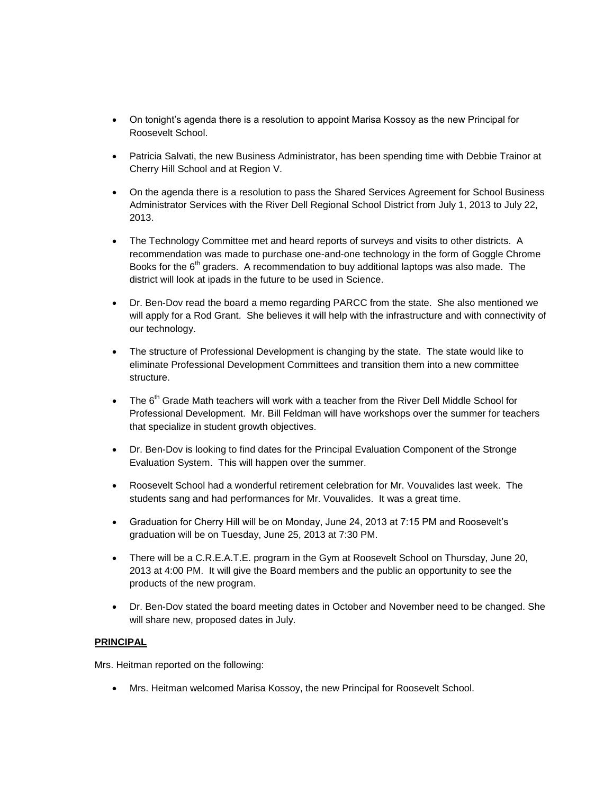- On tonight's agenda there is a resolution to appoint Marisa Kossoy as the new Principal for Roosevelt School.
- Patricia Salvati, the new Business Administrator, has been spending time with Debbie Trainor at Cherry Hill School and at Region V.
- On the agenda there is a resolution to pass the Shared Services Agreement for School Business Administrator Services with the River Dell Regional School District from July 1, 2013 to July 22, 2013.
- The Technology Committee met and heard reports of surveys and visits to other districts. A recommendation was made to purchase one-and-one technology in the form of Goggle Chrome Books for the  $6<sup>th</sup>$  graders. A recommendation to buy additional laptops was also made. The district will look at ipads in the future to be used in Science.
- Dr. Ben-Dov read the board a memo regarding PARCC from the state. She also mentioned we will apply for a Rod Grant. She believes it will help with the infrastructure and with connectivity of our technology.
- The structure of Professional Development is changing by the state. The state would like to eliminate Professional Development Committees and transition them into a new committee structure.
- The 6<sup>th</sup> Grade Math teachers will work with a teacher from the River Dell Middle School for Professional Development. Mr. Bill Feldman will have workshops over the summer for teachers that specialize in student growth objectives.
- Dr. Ben-Dov is looking to find dates for the Principal Evaluation Component of the Stronge Evaluation System. This will happen over the summer.
- Roosevelt School had a wonderful retirement celebration for Mr. Vouvalides last week. The students sang and had performances for Mr. Vouvalides. It was a great time.
- Graduation for Cherry Hill will be on Monday, June 24, 2013 at 7:15 PM and Roosevelt's graduation will be on Tuesday, June 25, 2013 at 7:30 PM.
- There will be a C.R.E.A.T.E. program in the Gym at Roosevelt School on Thursday, June 20, 2013 at 4:00 PM. It will give the Board members and the public an opportunity to see the products of the new program.
- Dr. Ben-Dov stated the board meeting dates in October and November need to be changed. She will share new, proposed dates in July.

# **PRINCIPAL**

Mrs. Heitman reported on the following:

Mrs. Heitman welcomed Marisa Kossoy, the new Principal for Roosevelt School.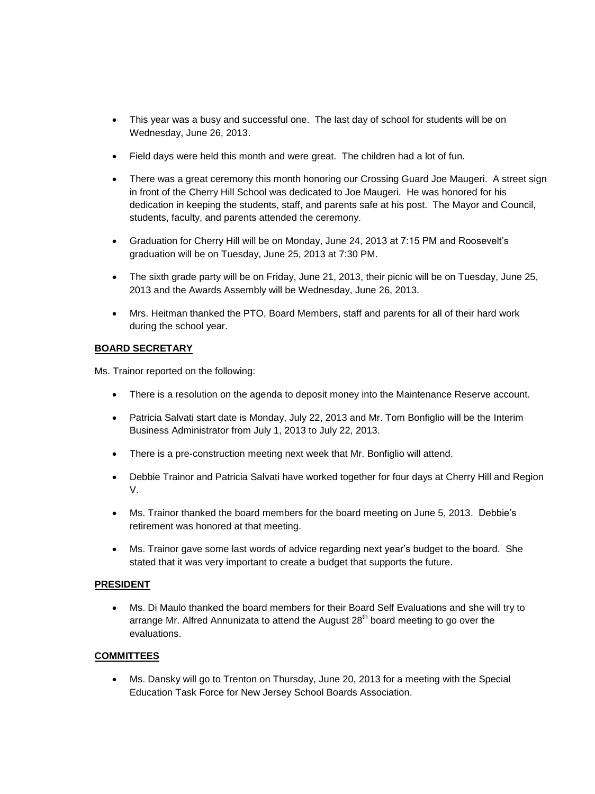- This year was a busy and successful one. The last day of school for students will be on Wednesday, June 26, 2013.
- Field days were held this month and were great. The children had a lot of fun.
- There was a great ceremony this month honoring our Crossing Guard Joe Maugeri. A street sign in front of the Cherry Hill School was dedicated to Joe Maugeri. He was honored for his dedication in keeping the students, staff, and parents safe at his post. The Mayor and Council, students, faculty, and parents attended the ceremony.
- Graduation for Cherry Hill will be on Monday, June 24, 2013 at 7:15 PM and Roosevelt's graduation will be on Tuesday, June 25, 2013 at 7:30 PM.
- The sixth grade party will be on Friday, June 21, 2013, their picnic will be on Tuesday, June 25, 2013 and the Awards Assembly will be Wednesday, June 26, 2013.
- Mrs. Heitman thanked the PTO, Board Members, staff and parents for all of their hard work during the school year.

# **BOARD SECRETARY**

Ms. Trainor reported on the following:

- There is a resolution on the agenda to deposit money into the Maintenance Reserve account.
- Patricia Salvati start date is Monday, July 22, 2013 and Mr. Tom Bonfiglio will be the Interim Business Administrator from July 1, 2013 to July 22, 2013.
- There is a pre-construction meeting next week that Mr. Bonfiglio will attend.
- Debbie Trainor and Patricia Salvati have worked together for four days at Cherry Hill and Region V.
- Ms. Trainor thanked the board members for the board meeting on June 5, 2013. Debbie's retirement was honored at that meeting.
- Ms. Trainor gave some last words of advice regarding next year's budget to the board. She stated that it was very important to create a budget that supports the future.

#### **PRESIDENT**

 Ms. Di Maulo thanked the board members for their Board Self Evaluations and she will try to arrange Mr. Alfred Annunizata to attend the August  $28<sup>th</sup>$  board meeting to go over the evaluations.

#### **COMMITTEES**

 Ms. Dansky will go to Trenton on Thursday, June 20, 2013 for a meeting with the Special Education Task Force for New Jersey School Boards Association.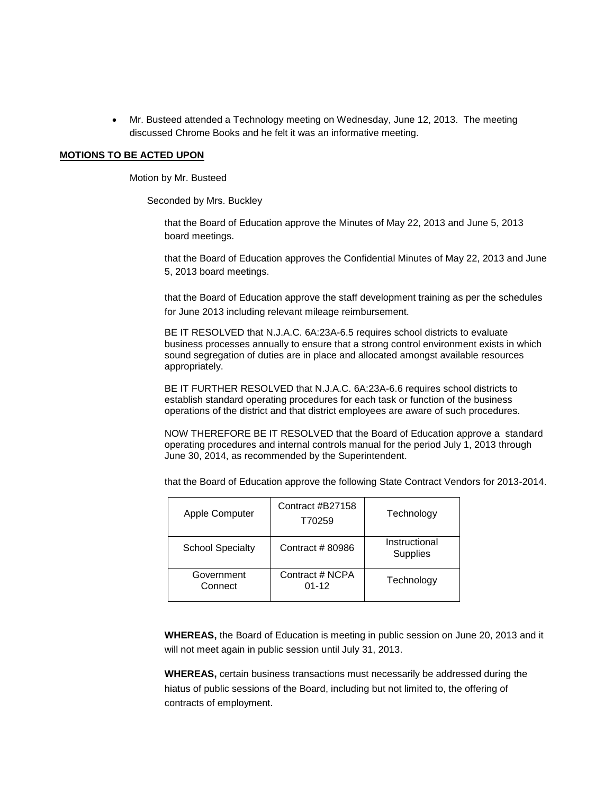Mr. Busteed attended a Technology meeting on Wednesday, June 12, 2013. The meeting discussed Chrome Books and he felt it was an informative meeting.

#### **MOTIONS TO BE ACTED UPON**

Motion by Mr. Busteed

Seconded by Mrs. Buckley

that the Board of Education approve the Minutes of May 22, 2013 and June 5, 2013 board meetings.

that the Board of Education approves the Confidential Minutes of May 22, 2013 and June 5, 2013 board meetings.

that the Board of Education approve the staff development training as per the schedules for June 2013 including relevant mileage reimbursement.

BE IT RESOLVED that N.J.A.C. 6A:23A-6.5 requires school districts to evaluate business processes annually to ensure that a strong control environment exists in which sound segregation of duties are in place and allocated amongst available resources appropriately.

BE IT FURTHER RESOLVED that N.J.A.C. 6A:23A-6.6 requires school districts to establish standard operating procedures for each task or function of the business operations of the district and that district employees are aware of such procedures.

NOW THEREFORE BE IT RESOLVED that the Board of Education approve a standard operating procedures and internal controls manual for the period July 1, 2013 through June 30, 2014, as recommended by the Superintendent.

that the Board of Education approve the following State Contract Vendors for 2013-2014.

| <b>Apple Computer</b>   | Contract #B27158<br>T70259   | Technology                       |
|-------------------------|------------------------------|----------------------------------|
| <b>School Specialty</b> | Contract #80986              | Instructional<br><b>Supplies</b> |
| Government<br>Connect   | Contract # NCPA<br>$01 - 12$ | Technology                       |

**WHEREAS,** the Board of Education is meeting in public session on June 20, 2013 and it will not meet again in public session until July 31, 2013.

**WHEREAS,** certain business transactions must necessarily be addressed during the hiatus of public sessions of the Board, including but not limited to, the offering of contracts of employment.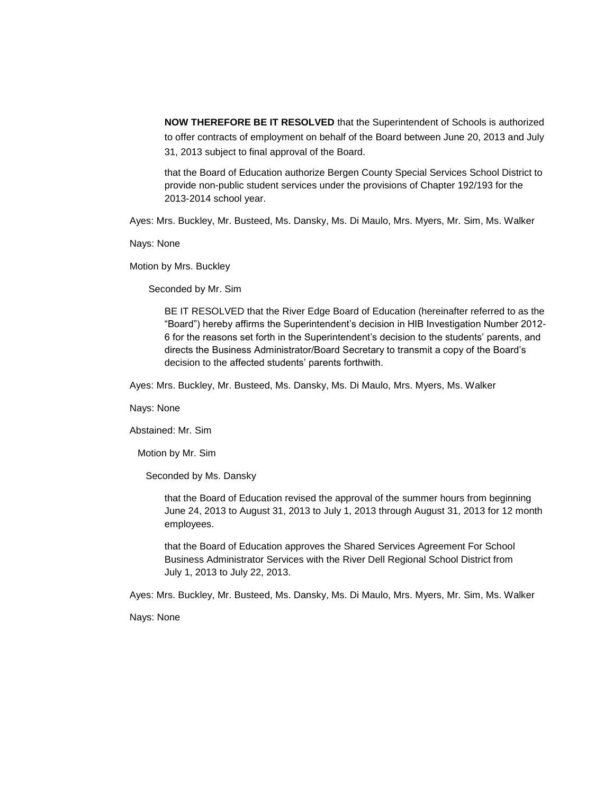**NOW THEREFORE BE IT RESOLVED** that the Superintendent of Schools is authorized to offer contracts of employment on behalf of the Board between June 20, 2013 and July 31, 2013 subject to final approval of the Board.

that the Board of Education authorize Bergen County Special Services School District to provide non-public student services under the provisions of Chapter 192/193 for the 2013-2014 school year.

Ayes: Mrs. Buckley, Mr. Busteed, Ms. Dansky, Ms. Di Maulo, Mrs. Myers, Mr. Sim, Ms. Walker

Nays: None

Motion by Mrs. Buckley

Seconded by Mr. Sim

BE IT RESOLVED that the River Edge Board of Education (hereinafter referred to as the "Board") hereby affirms the Superintendent's decision in HIB Investigation Number 2012- 6 for the reasons set forth in the Superintendent's decision to the students' parents, and directs the Business Administrator/Board Secretary to transmit a copy of the Board's decision to the affected students' parents forthwith.

Ayes: Mrs. Buckley, Mr. Busteed, Ms. Dansky, Ms. Di Maulo, Mrs. Myers, Ms. Walker

Nays: None

Abstained: Mr. Sim

Motion by Mr. Sim

Seconded by Ms. Dansky

that the Board of Education revised the approval of the summer hours from beginning June 24, 2013 to August 31, 2013 to July 1, 2013 through August 31, 2013 for 12 month employees.

that the Board of Education approves the Shared Services Agreement For School Business Administrator Services with the River Dell Regional School District from July 1, 2013 to July 22, 2013.

Ayes: Mrs. Buckley, Mr. Busteed, Ms. Dansky, Ms. Di Maulo, Mrs. Myers, Mr. Sim, Ms. Walker

Nays: None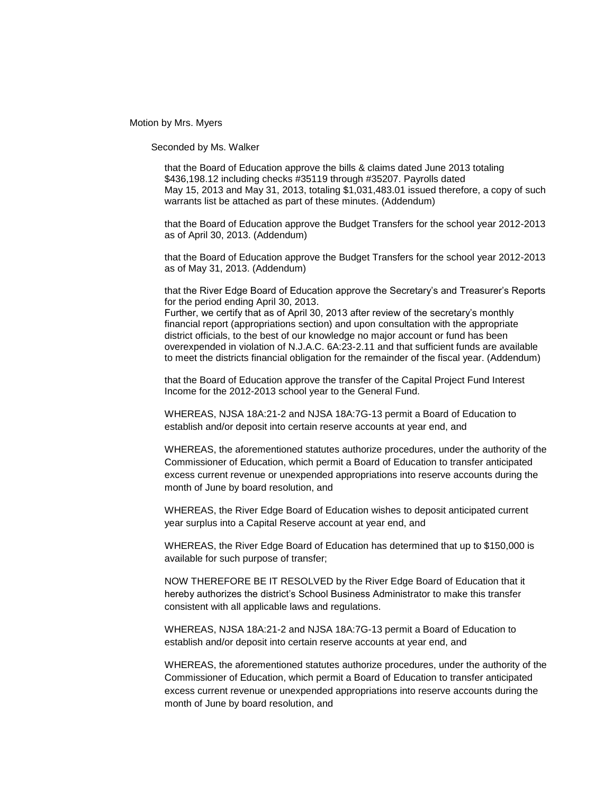Motion by Mrs. Myers

Seconded by Ms. Walker

that the Board of Education approve the bills & claims dated June 2013 totaling \$436,198.12 including checks #35119 through #35207. Payrolls dated May 15, 2013 and May 31, 2013, totaling \$1,031,483.01 issued therefore, a copy of such warrants list be attached as part of these minutes. (Addendum)

that the Board of Education approve the Budget Transfers for the school year 2012-2013 as of April 30, 2013. (Addendum)

that the Board of Education approve the Budget Transfers for the school year 2012-2013 as of May 31, 2013. (Addendum)

that the River Edge Board of Education approve the Secretary's and Treasurer's Reports for the period ending April 30, 2013.

Further, we certify that as of April 30, 2013 after review of the secretary's monthly financial report (appropriations section) and upon consultation with the appropriate district officials, to the best of our knowledge no major account or fund has been overexpended in violation of N.J.A.C. 6A:23-2.11 and that sufficient funds are available to meet the districts financial obligation for the remainder of the fiscal year. (Addendum)

that the Board of Education approve the transfer of the Capital Project Fund Interest Income for the 2012-2013 school year to the General Fund.

WHEREAS, NJSA 18A:21-2 and NJSA 18A:7G-13 permit a Board of Education to establish and/or deposit into certain reserve accounts at year end, and

WHEREAS, the aforementioned statutes authorize procedures, under the authority of the Commissioner of Education, which permit a Board of Education to transfer anticipated excess current revenue or unexpended appropriations into reserve accounts during the month of June by board resolution, and

WHEREAS, the River Edge Board of Education wishes to deposit anticipated current year surplus into a Capital Reserve account at year end, and

WHEREAS, the River Edge Board of Education has determined that up to \$150,000 is available for such purpose of transfer;

NOW THEREFORE BE IT RESOLVED by the River Edge Board of Education that it hereby authorizes the district's School Business Administrator to make this transfer consistent with all applicable laws and regulations.

WHEREAS, NJSA 18A:21-2 and NJSA 18A:7G-13 permit a Board of Education to establish and/or deposit into certain reserve accounts at year end, and

WHEREAS, the aforementioned statutes authorize procedures, under the authority of the Commissioner of Education, which permit a Board of Education to transfer anticipated excess current revenue or unexpended appropriations into reserve accounts during the month of June by board resolution, and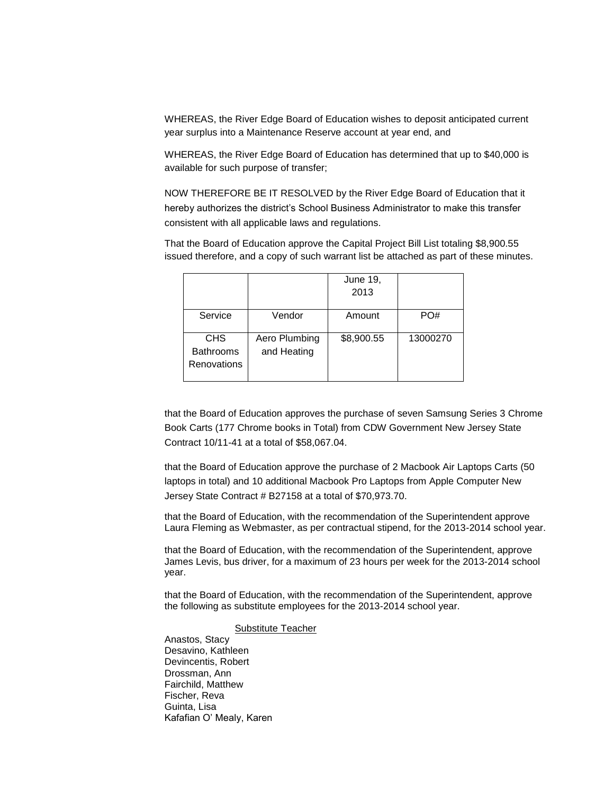WHEREAS, the River Edge Board of Education wishes to deposit anticipated current year surplus into a Maintenance Reserve account at year end, and

WHEREAS, the River Edge Board of Education has determined that up to \$40,000 is available for such purpose of transfer;

NOW THEREFORE BE IT RESOLVED by the River Edge Board of Education that it hereby authorizes the district's School Business Administrator to make this transfer consistent with all applicable laws and regulations.

That the Board of Education approve the Capital Project Bill List totaling \$8,900.55 issued therefore, and a copy of such warrant list be attached as part of these minutes.

|                                               |                              | <b>June 19,</b><br>2013 |          |
|-----------------------------------------------|------------------------------|-------------------------|----------|
| Service                                       | Vendor                       | Amount                  | PO#      |
| <b>CHS</b><br><b>Bathrooms</b><br>Renovations | Aero Plumbing<br>and Heating | \$8,900.55              | 13000270 |

that the Board of Education approves the purchase of seven Samsung Series 3 Chrome Book Carts (177 Chrome books in Total) from CDW Government New Jersey State Contract 10/11-41 at a total of \$58,067.04.

that the Board of Education approve the purchase of 2 Macbook Air Laptops Carts (50 laptops in total) and 10 additional Macbook Pro Laptops from Apple Computer New Jersey State Contract # B27158 at a total of \$70,973.70.

that the Board of Education, with the recommendation of the Superintendent approve Laura Fleming as Webmaster, as per contractual stipend, for the 2013-2014 school year.

that the Board of Education, with the recommendation of the Superintendent, approve James Levis, bus driver, for a maximum of 23 hours per week for the 2013-2014 school year.

that the Board of Education, with the recommendation of the Superintendent, approve the following as substitute employees for the 2013-2014 school year.

### Substitute Teacher

Anastos, Stacy Desavino, Kathleen Devincentis, Robert Drossman, Ann Fairchild, Matthew Fischer, Reva Guinta, Lisa Kafafian O' Mealy, Karen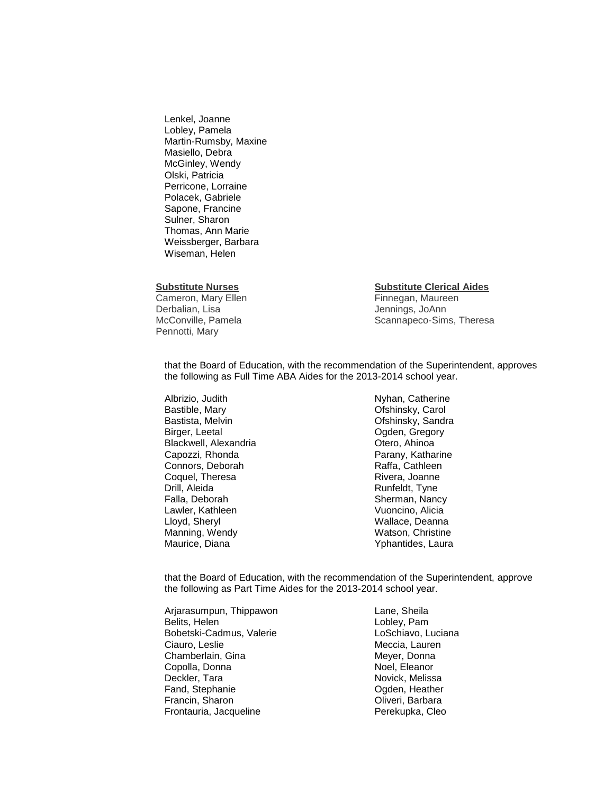Lenkel, Joanne Lobley, Pamela Martin-Rumsby, Maxine Masiello, Debra McGinley, Wendy Olski, Patricia Perricone, Lorraine Polacek, Gabriele Sapone, Francine Sulner, Sharon Thomas, Ann Marie Weissberger, Barbara Wiseman, Helen

Cameron, Mary Ellen Finnegan, Maureen Derbalian, Lisa Jennings, JoAnn Pennotti, Mary

#### **Substitute Nurses Substitute Clerical Aides**

McConville, Pamela Scannapeco-Sims, Theresa

that the Board of Education, with the recommendation of the Superintendent, approves the following as Full Time ABA Aides for the 2013-2014 school year.

Albrizio, Judith Nyhan, Catherine Bastible, Mary **Carol** Channel Controllery, Carol Channel Channel Channel Channel Channel Channel Channel Channel Bastista, Melvin **Communistal Communists** Communisty, Sandra Birger, Leetal **Digital Community** Communication Communication Communication Communication Communication Communication Communication Communication Communication Communication Communication Communication Communication Commu Blackwell, Alexandria **Calculates Contracts** Otero, Ahinoa Capozzi, Rhonda **Parany, Katharine** Connors, Deborah **Raffa**, Cathleen Coquel, Theresa Rivera, Joanne Drill, Aleida<br>
Falla, Deborah **Runfeldt, Tyne**<br>
Runfeldt, Tyne Lawler, Kathleen Vuoncino, Alicia Lloyd, Sheryl Wallace, Deanna Manning, Wendy Maurice, Diana Yphantides, Laura

Sherman, Nancy

that the Board of Education, with the recommendation of the Superintendent, approve the following as Part Time Aides for the 2013-2014 school year.

Arjarasumpun, Thippawon Lane, Sheila Belits, Helen **Lobley**, Pam Bobetski-Cadmus, Valerie **LoSchiavo, Luciana** Ciauro, Leslie **Meccia**, Lauren Chamberlain, Gina **Meyer**, Donna Copolla, Donna Noel, Eleanor Deckler, Tara Novick, Melissa Fand, Stephanie **Christian Communist Communist Communist Control**<br>Francin, Sharon Christian Communist Communist Communist Communist Communist Communist Communist Communist Comm<br>Communist Communist Communist Communist Commu Francin, Sharon Frontauria, Jacqueline **Perekupka, Cleo**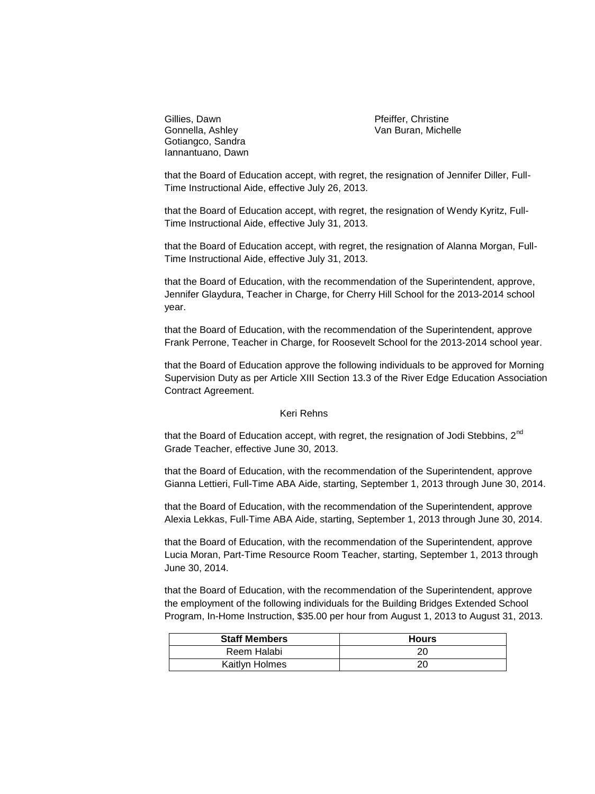Gillies, Dawn **Pfeiffer, Christine** Gotiangco, Sandra Iannantuano, Dawn

Gonnella, Ashley Van Buran, Michelle

that the Board of Education accept, with regret, the resignation of Jennifer Diller, Full-Time Instructional Aide, effective July 26, 2013.

that the Board of Education accept, with regret, the resignation of Wendy Kyritz, Full-Time Instructional Aide, effective July 31, 2013.

that the Board of Education accept, with regret, the resignation of Alanna Morgan, Full-Time Instructional Aide, effective July 31, 2013.

that the Board of Education, with the recommendation of the Superintendent, approve, Jennifer Glaydura, Teacher in Charge, for Cherry Hill School for the 2013-2014 school year.

that the Board of Education, with the recommendation of the Superintendent, approve Frank Perrone, Teacher in Charge, for Roosevelt School for the 2013-2014 school year.

that the Board of Education approve the following individuals to be approved for Morning Supervision Duty as per Article XIII Section 13.3 of the River Edge Education Association Contract Agreement.

#### Keri Rehns

that the Board of Education accept, with regret, the resignation of Jodi Stebbins, 2<sup>nd</sup> Grade Teacher, effective June 30, 2013.

that the Board of Education, with the recommendation of the Superintendent, approve Gianna Lettieri, Full-Time ABA Aide, starting, September 1, 2013 through June 30, 2014.

that the Board of Education, with the recommendation of the Superintendent, approve Alexia Lekkas, Full-Time ABA Aide, starting, September 1, 2013 through June 30, 2014.

that the Board of Education, with the recommendation of the Superintendent, approve Lucia Moran, Part-Time Resource Room Teacher, starting, September 1, 2013 through June 30, 2014.

that the Board of Education, with the recommendation of the Superintendent, approve the employment of the following individuals for the Building Bridges Extended School Program, In-Home Instruction, \$35.00 per hour from August 1, 2013 to August 31, 2013.

| <b>Staff Members</b> | <b>Hours</b> |
|----------------------|--------------|
| Reem Halabi          | 20           |
| Kaitlyn Holmes       | 20           |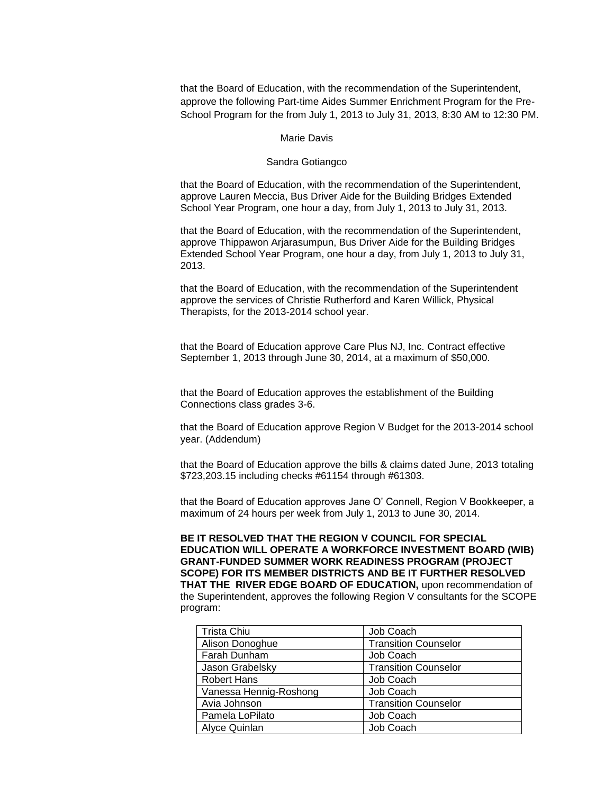that the Board of Education, with the recommendation of the Superintendent, approve the following Part-time Aides Summer Enrichment Program for the Pre-School Program for the from July 1, 2013 to July 31, 2013, 8:30 AM to 12:30 PM.

#### Marie Davis

#### Sandra Gotiangco

that the Board of Education, with the recommendation of the Superintendent, approve Lauren Meccia, Bus Driver Aide for the Building Bridges Extended School Year Program, one hour a day, from July 1, 2013 to July 31, 2013.

that the Board of Education, with the recommendation of the Superintendent, approve Thippawon Arjarasumpun, Bus Driver Aide for the Building Bridges Extended School Year Program, one hour a day, from July 1, 2013 to July 31, 2013.

that the Board of Education, with the recommendation of the Superintendent approve the services of Christie Rutherford and Karen Willick, Physical Therapists, for the 2013-2014 school year.

that the Board of Education approve Care Plus NJ, Inc. Contract effective September 1, 2013 through June 30, 2014, at a maximum of \$50,000.

that the Board of Education approves the establishment of the Building Connections class grades 3-6.

that the Board of Education approve Region V Budget for the 2013-2014 school year. (Addendum)

that the Board of Education approve the bills & claims dated June, 2013 totaling \$723,203.15 including checks #61154 through #61303.

that the Board of Education approves Jane O' Connell, Region V Bookkeeper, a maximum of 24 hours per week from July 1, 2013 to June 30, 2014.

**BE IT RESOLVED THAT THE REGION V COUNCIL FOR SPECIAL EDUCATION WILL OPERATE A WORKFORCE INVESTMENT BOARD (WIB) GRANT-FUNDED SUMMER WORK READINESS PROGRAM (PROJECT SCOPE) FOR ITS MEMBER DISTRICTS AND BE IT FURTHER RESOLVED THAT THE RIVER EDGE BOARD OF EDUCATION,** upon recommendation of the Superintendent, approves the following Region V consultants for the SCOPE program:

| <b>Trista Chiu</b>     | Job Coach                   |
|------------------------|-----------------------------|
| Alison Donoghue        | <b>Transition Counselor</b> |
| Farah Dunham           | Job Coach                   |
| Jason Grabelsky        | <b>Transition Counselor</b> |
| <b>Robert Hans</b>     | Job Coach                   |
| Vanessa Hennig-Roshong | Job Coach                   |
| Avia Johnson           | <b>Transition Counselor</b> |
| Pamela LoPilato        | Job Coach                   |
| Alyce Quinlan          | Job Coach                   |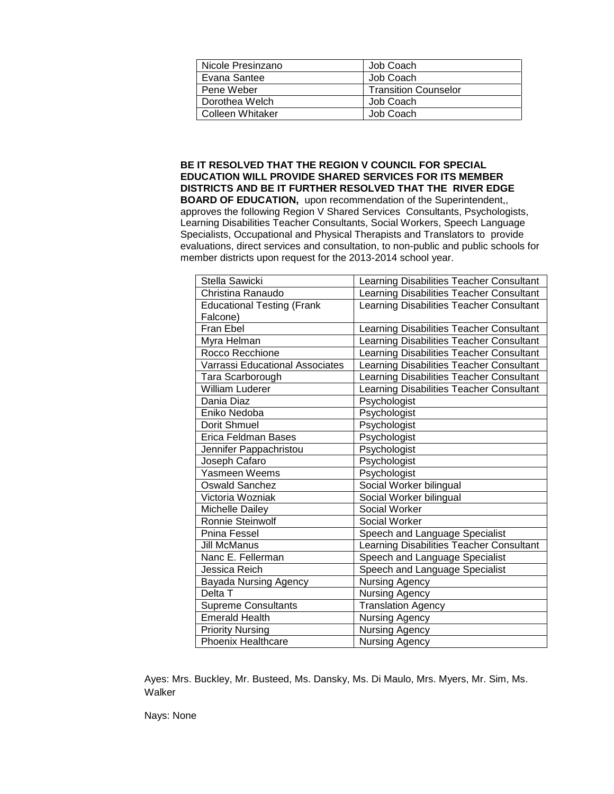| Nicole Presinzano | Job Coach                   |
|-------------------|-----------------------------|
| Evana Santee      | Job Coach                   |
| Pene Weber        | <b>Transition Counselor</b> |
| Dorothea Welch    | Job Coach                   |
| Colleen Whitaker  | Job Coach                   |

**BE IT RESOLVED THAT THE REGION V COUNCIL FOR SPECIAL EDUCATION WILL PROVIDE SHARED SERVICES FOR ITS MEMBER DISTRICTS AND BE IT FURTHER RESOLVED THAT THE RIVER EDGE BOARD OF EDUCATION,** upon recommendation of the Superintendent,, approves the following Region V Shared Services Consultants, Psychologists, Learning Disabilities Teacher Consultants, Social Workers, Speech Language Specialists, Occupational and Physical Therapists and Translators to provide evaluations, direct services and consultation, to non-public and public schools for member districts upon request for the 2013-2014 school year.

| Stella Sawicki                    | Learning Disabilities Teacher Consultant |
|-----------------------------------|------------------------------------------|
| Christina Ranaudo                 | Learning Disabilities Teacher Consultant |
| <b>Educational Testing (Frank</b> | Learning Disabilities Teacher Consultant |
| Falcone)                          |                                          |
| Fran Ebel                         | Learning Disabilities Teacher Consultant |
| Myra Helman                       | Learning Disabilities Teacher Consultant |
| Rocco Recchione                   | Learning Disabilities Teacher Consultant |
| Varrassi Educational Associates   | Learning Disabilities Teacher Consultant |
| Tara Scarborough                  | Learning Disabilities Teacher Consultant |
| <b>William Luderer</b>            | Learning Disabilities Teacher Consultant |
| Dania Diaz                        | Psychologist                             |
| Eniko Nedoba                      | Psychologist                             |
| Dorit Shmuel                      | Psychologist                             |
| <b>Erica Feldman Bases</b>        | Psychologist                             |
| Jennifer Pappachristou            | Psychologist                             |
| Joseph Cafaro                     | Psychologist                             |
| Yasmeen Weems                     | Psychologist                             |
| <b>Oswald Sanchez</b>             | Social Worker bilingual                  |
| Victoria Wozniak                  | Social Worker bilingual                  |
| Michelle Dailey                   | Social Worker                            |
| <b>Ronnie Steinwolf</b>           | Social Worker                            |
| Pnina Fessel                      | Speech and Language Specialist           |
| Jill McManus                      | Learning Disabilities Teacher Consultant |
| Nanc E. Fellerman                 | Speech and Language Specialist           |
| Jessica Reich                     | Speech and Language Specialist           |
| <b>Bayada Nursing Agency</b>      | Nursing Agency                           |
| Delta T                           | Nursing Agency                           |
| <b>Supreme Consultants</b>        | <b>Translation Agency</b>                |
| <b>Emerald Health</b>             | <b>Nursing Agency</b>                    |
| <b>Priority Nursing</b>           | Nursing Agency                           |
| <b>Phoenix Healthcare</b>         | <b>Nursing Agency</b>                    |

Ayes: Mrs. Buckley, Mr. Busteed, Ms. Dansky, Ms. Di Maulo, Mrs. Myers, Mr. Sim, Ms. Walker

Nays: None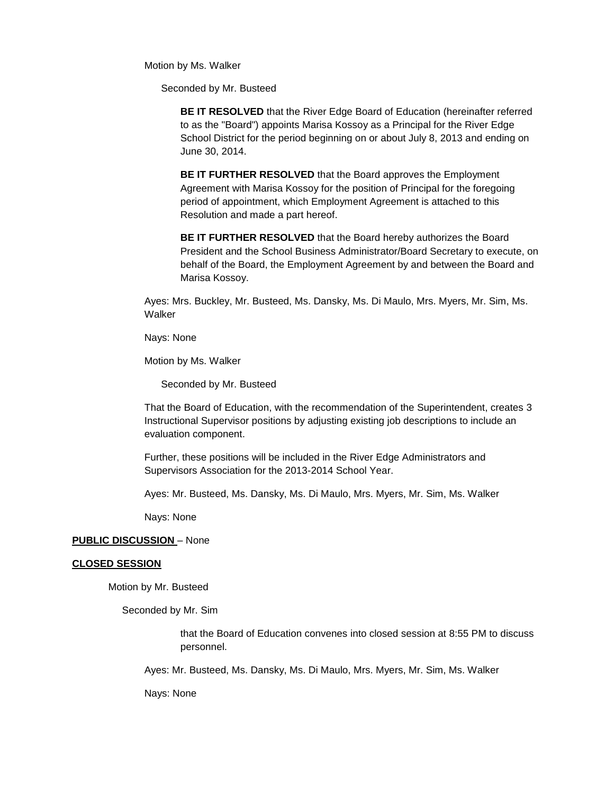Motion by Ms. Walker

Seconded by Mr. Busteed

**BE IT RESOLVED** that the River Edge Board of Education (hereinafter referred to as the "Board") appoints Marisa Kossoy as a Principal for the River Edge School District for the period beginning on or about July 8, 2013 and ending on June 30, 2014.

**BE IT FURTHER RESOLVED** that the Board approves the Employment Agreement with Marisa Kossoy for the position of Principal for the foregoing period of appointment, which Employment Agreement is attached to this Resolution and made a part hereof.

**BE IT FURTHER RESOLVED** that the Board hereby authorizes the Board President and the School Business Administrator/Board Secretary to execute, on behalf of the Board, the Employment Agreement by and between the Board and Marisa Kossoy.

Ayes: Mrs. Buckley, Mr. Busteed, Ms. Dansky, Ms. Di Maulo, Mrs. Myers, Mr. Sim, Ms. Walker

Nays: None

Motion by Ms. Walker

Seconded by Mr. Busteed

That the Board of Education, with the recommendation of the Superintendent, creates 3 Instructional Supervisor positions by adjusting existing job descriptions to include an evaluation component.

Further, these positions will be included in the River Edge Administrators and Supervisors Association for the 2013-2014 School Year.

Ayes: Mr. Busteed, Ms. Dansky, Ms. Di Maulo, Mrs. Myers, Mr. Sim, Ms. Walker

Nays: None

#### **PUBLIC DISCUSSION** – None

#### **CLOSED SESSION**

Motion by Mr. Busteed

Seconded by Mr. Sim

that the Board of Education convenes into closed session at 8:55 PM to discuss personnel.

Ayes: Mr. Busteed, Ms. Dansky, Ms. Di Maulo, Mrs. Myers, Mr. Sim, Ms. Walker

Nays: None